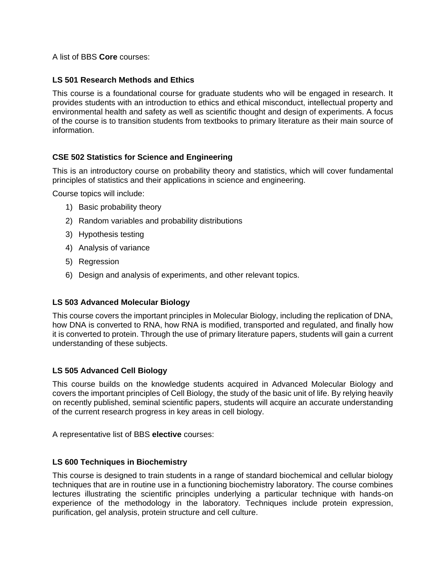A list of BBS **Core** courses:

## **LS 501 Research Methods and Ethics**

This course is a foundational course for graduate students who will be engaged in research. It provides students with an introduction to ethics and ethical misconduct, intellectual property and environmental health and safety as well as scientific thought and design of experiments. A focus of the course is to transition students from textbooks to primary literature as their main source of information.

## **CSE 502 Statistics for Science and Engineering**

This is an introductory course on probability theory and statistics, which will cover fundamental principles of statistics and their applications in science and engineering.

Course topics will include:

- 1) Basic probability theory
- 2) Random variables and probability distributions
- 3) Hypothesis testing
- 4) Analysis of variance
- 5) Regression
- 6) Design and analysis of experiments, and other relevant topics.

## **LS 503 Advanced Molecular Biology**

This course covers the important principles in Molecular Biology, including the replication of DNA, how DNA is converted to RNA, how RNA is modified, transported and regulated, and finally how it is converted to protein. Through the use of primary literature papers, students will gain a current understanding of these subjects.

## **LS 505 Advanced Cell Biology**

This course builds on the knowledge students acquired in Advanced Molecular Biology and covers the important principles of Cell Biology, the study of the basic unit of life. By relying heavily on recently published, seminal scientific papers, students will acquire an accurate understanding of the current research progress in key areas in cell biology.

A representative list of BBS **elective** courses:

#### **LS 600 Techniques in Biochemistry**

This course is designed to train students in a range of standard biochemical and cellular biology techniques that are in routine use in a functioning biochemistry laboratory. The course combines lectures illustrating the scientific principles underlying a particular technique with hands-on experience of the methodology in the laboratory. Techniques include protein expression, purification, gel analysis, protein structure and cell culture.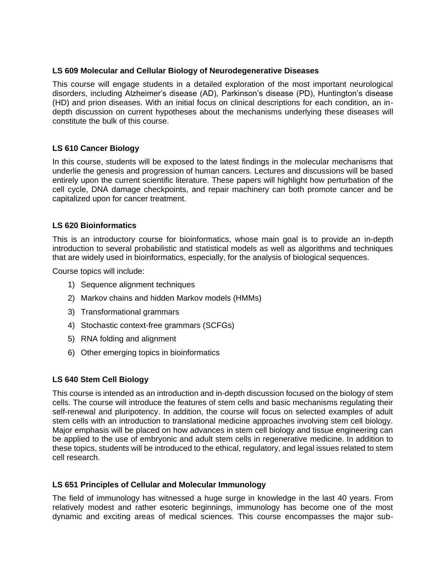### **LS 609 Molecular and Cellular Biology of Neurodegenerative Diseases**

This course will engage students in a detailed exploration of the most important neurological disorders, including Alzheimer's disease (AD), Parkinson's disease (PD), Huntington's disease (HD) and prion diseases. With an initial focus on clinical descriptions for each condition, an indepth discussion on current hypotheses about the mechanisms underlying these diseases will constitute the bulk of this course.

## **LS 610 Cancer Biology**

In this course, students will be exposed to the latest findings in the molecular mechanisms that underlie the genesis and progression of human cancers. Lectures and discussions will be based entirely upon the current scientific literature. These papers will highlight how perturbation of the cell cycle, DNA damage checkpoints, and repair machinery can both promote cancer and be capitalized upon for cancer treatment.

## **LS 620 Bioinformatics**

This is an introductory course for bioinformatics, whose main goal is to provide an in-depth introduction to several probabilistic and statistical models as well as algorithms and techniques that are widely used in bioinformatics, especially, for the analysis of biological sequences.

Course topics will include:

- 1) Sequence alignment techniques
- 2) Markov chains and hidden Markov models (HMMs)
- 3) Transformational grammars
- 4) Stochastic context-free grammars (SCFGs)
- 5) RNA folding and alignment
- 6) Other emerging topics in bioinformatics

## **LS 640 Stem Cell Biology**

This course is intended as an introduction and in-depth discussion focused on the biology of stem cells. The course will introduce the features of stem cells and basic mechanisms regulating their self-renewal and pluripotency. In addition, the course will focus on selected examples of adult stem cells with an introduction to translational medicine approaches involving stem cell biology. Major emphasis will be placed on how advances in stem cell biology and tissue engineering can be applied to the use of embryonic and adult stem cells in regenerative medicine. In addition to these topics, students will be introduced to the ethical, regulatory, and legal issues related to stem cell research.

#### **LS 651 Principles of Cellular and Molecular Immunology**

The field of immunology has witnessed a huge surge in knowledge in the last 40 years. From relatively modest and rather esoteric beginnings, immunology has become one of the most dynamic and exciting areas of medical sciences. This course encompasses the major sub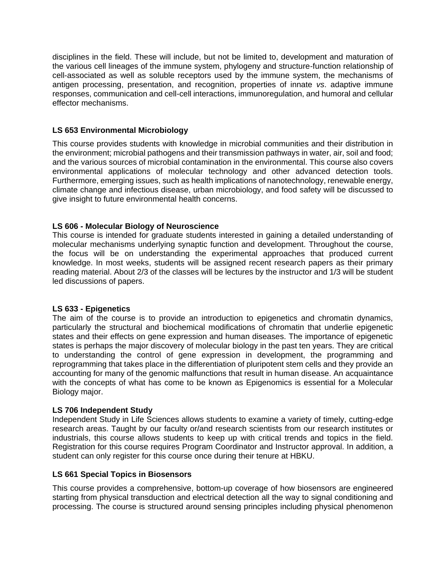disciplines in the field. These will include, but not be limited to, development and maturation of the various cell lineages of the immune system, phylogeny and structure-function relationship of cell-associated as well as soluble receptors used by the immune system, the mechanisms of antigen processing, presentation, and recognition, properties of innate *vs*. adaptive immune responses, communication and cell-cell interactions, immunoregulation, and humoral and cellular effector mechanisms.

## **LS 653 Environmental Microbiology**

This course provides students with knowledge in microbial communities and their distribution in the environment; microbial pathogens and their transmission pathways in water, air, soil and food; and the various sources of microbial contamination in the environmental. This course also covers environmental applications of molecular technology and other advanced detection tools. Furthermore, emerging issues, such as health implications of nanotechnology, renewable energy, climate change and infectious disease, urban microbiology, and food safety will be discussed to give insight to future environmental health concerns.

# **LS 606 - Molecular Biology of Neuroscience**

This course is intended for graduate students interested in gaining a detailed understanding of molecular mechanisms underlying synaptic function and development. Throughout the course, the focus will be on understanding the experimental approaches that produced current knowledge. In most weeks, students will be assigned recent research papers as their primary reading material. About 2/3 of the classes will be lectures by the instructor and 1/3 will be student led discussions of papers.

## **LS 633 - Epigenetics**

The aim of the course is to provide an introduction to epigenetics and chromatin dynamics, particularly the structural and biochemical modifications of chromatin that underlie epigenetic states and their effects on gene expression and human diseases. The importance of epigenetic states is perhaps the major discovery of molecular biology in the past ten years. They are critical to understanding the control of gene expression in development, the programming and reprogramming that takes place in the differentiation of pluripotent stem cells and they provide an accounting for many of the genomic malfunctions that result in human disease. An acquaintance with the concepts of what has come to be known as Epigenomics is essential for a Molecular Biology major.

## **LS 706 Independent Study**

Independent Study in Life Sciences allows students to examine a variety of timely, cutting-edge research areas. Taught by our faculty or/and research scientists from our research institutes or industrials, this course allows students to keep up with critical trends and topics in the field. Registration for this course requires Program Coordinator and Instructor approval. In addition, a student can only register for this course once during their tenure at HBKU.

## **LS 661 Special Topics in Biosensors**

This course provides a comprehensive, bottom-up coverage of how biosensors are engineered starting from physical transduction and electrical detection all the way to signal conditioning and processing. The course is structured around sensing principles including physical phenomenon